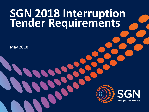# **SGN 2018 Interruption Tender Requirements**

May 2018



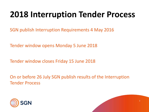# **2018 Interruption Tender Process**

SGN publish Interruption Requirements 4 May 2016

Tender window opens Monday 5 June 2018

Tender window closes Friday 15 June 2018

On or before 26 July SGN publish results of the Interruption Tender Process



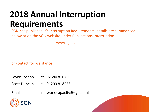# **2018 Annual Interruption Requirements**

SGN has published it's Interruption Requirements, details are summarised below or on the SGN website under Publications;Interruption

www.sgn.co.uk

or contact for assistance

- Leyon Joseph tel  $02380816730$
- Scott Duncan tel 01293 818256
- Email network.capacity@sgn.co.uk



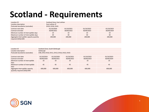### **Scotland - Requirements**

| Location ID                                                     | Scotland Zone; East Lothian |            |            |            |  |  |
|-----------------------------------------------------------------|-----------------------------|------------|------------|------------|--|--|
| Location description                                            | East Lothian IP             |            |            |            |  |  |
| Postcode boundaries (outcodes)                                  | EH33, EH34, EH41            |            |            |            |  |  |
| Contract start date                                             | 01/10/2020                  | 01/10/2021 | 01/10/2022 | 01/10/2023 |  |  |
| Contract end date                                               | 30/09/2021                  | 30/09/2022 | 30/09/2023 | 30/09/2024 |  |  |
| Minimum number of interruptible days                            | 10                          | 10         | 10         | 10         |  |  |
| Maximum number of interruptible days                            | 30                          | 30         | 30         | 30         |  |  |
| Aggregate interruptible capacity quantity<br>required (SOQ) kWh | 200,000                     | 200.000    | 200,000    | 200,000    |  |  |

| Location ID                                                     | Scotland Zone; South Edinburgh               |            |            |            |            |  |  |
|-----------------------------------------------------------------|----------------------------------------------|------------|------------|------------|------------|--|--|
| Location description                                            | Edinburgh                                    |            |            |            |            |  |  |
| Postcode boundaries (outcodes)                                  | EH8, EH9, EH10, EH11, EH13, EH16, EH22, EH25 |            |            |            |            |  |  |
| Contract start date                                             | 01/10/2019                                   | 01/10/2020 | 01/10/2021 | 01/10/2022 | 01/10/2023 |  |  |
| Contract end date                                               | 30/09/2020                                   | 30/09/2021 | 30/09/2022 | 30/09/2023 | 30/09/2024 |  |  |
| Minimum number of interruptible<br>days                         | 10                                           | 10         | 10         | 10         | 10         |  |  |
| Maximum number of interruptible<br>days                         | 45                                           | 45         | 45         | 45         | 45         |  |  |
| Aggregate interruptible capacity<br>quantity required (SOQ) kWh | 600,000                                      | 600,000    | 600,000    | 600,000    | 600,000    |  |  |



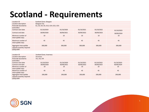### **Scotland - Requirements**

| Location ID                                                        | Scotland Zone; Glasgow             |            |            |            |            |  |  |
|--------------------------------------------------------------------|------------------------------------|------------|------------|------------|------------|--|--|
| Location description                                               | <b>Glasgow City</b>                |            |            |            |            |  |  |
| Postcode boundaries<br>(outcodes)                                  | G1, G3, G4, G5, G12, G14, G21, G31 |            |            |            |            |  |  |
| Contract start date                                                | 01/10/2019                         | 01/10/2020 | 01/10/2021 | 01/10/2022 | 01/10/2023 |  |  |
| Contract end date                                                  | 30/09/2020                         | 30/09/2021 | 30/09/2022 | 30/09/2023 | 30/09/2024 |  |  |
| Minimum number of<br>interruptible days                            | 10                                 | 10         | 10         | 10         | 10         |  |  |
| Maximum number of<br>interruptible days                            | 45                                 | 45         | 45         | 45         | 45         |  |  |
| Aggregate interruptible<br>capacity quantity required<br>(SOQ) kWh | 300,000                            | 300,000    | 300,000    | 300,000    | 300,000    |  |  |

| Location ID                                                        | Scotland Zone; Inverness |            |            |            |            |  |  |  |
|--------------------------------------------------------------------|--------------------------|------------|------------|------------|------------|--|--|--|
| Location description                                               | <i>Inverness</i>         |            |            |            |            |  |  |  |
| Postcode boundaries                                                | IV1, IV2, IV4            |            |            |            |            |  |  |  |
| (outcodes)                                                         |                          |            |            |            |            |  |  |  |
| Contract start date                                                | 01/10/2019               | 01/10/2020 | 01/10/2021 | 01/10/2022 | 01/10/2023 |  |  |  |
| Contract end date                                                  | 30/09/2020               | 30/09/2021 | 30/09/2022 | 30/09/2023 | 30/09/2024 |  |  |  |
| Minimum number of                                                  | 10                       | 10         | 10         | 10         | 10         |  |  |  |
| interruptible days                                                 |                          |            |            |            |            |  |  |  |
| Maximum number of                                                  | 45                       | 45         | 45         | 45         | 45         |  |  |  |
| interruptible days                                                 |                          |            |            |            |            |  |  |  |
| Aggregate interruptible<br>capacity quantity required<br>(SOQ) kWh | 200,000                  | 200,000    | 200,000    | 200,000    | 200,000    |  |  |  |